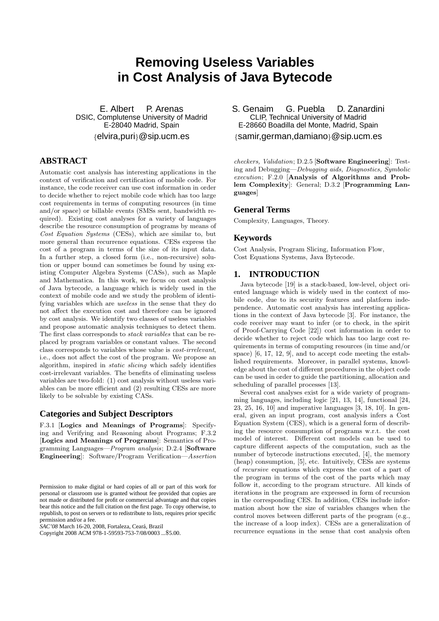# **Removing Useless Variables in Cost Analysis of Java Bytecode**

E. Albert P. Arenas DSIC, Complutense University of Madrid E-28040 Madrid, Spain {elvira,puri}@sip.ucm.es

### **ABSTRACT**

Automatic cost analysis has interesting applications in the context of verification and certification of mobile code. For instance, the code receiver can use cost information in order to decide whether to reject mobile code which has too large cost requirements in terms of computing resources (in time and/or space) or billable events (SMSs sent, bandwidth required). Existing cost analyses for a variety of languages describe the resource consumption of programs by means of Cost Equation Systems (CESs), which are similar to, but more general than recurrence equations. CESs express the cost of a program in terms of the size of its input data. In a further step, a closed form (i.e., non-recursive) solution or upper bound can sometimes be found by using existing Computer Algebra Systems (CASs), such as Maple and Mathematica. In this work, we focus on cost analysis of Java bytecode, a language which is widely used in the context of mobile code and we study the problem of identifying variables which are useless in the sense that they do not affect the execution cost and therefore can be ignored by cost analysis. We identify two classes of useless variables and propose automatic analysis techniques to detect them. The first class corresponds to stack variables that can be replaced by program variables or constant values. The second class corresponds to variables whose value is cost-irrelevant, i.e., does not affect the cost of the program. We propose an algorithm, inspired in static slicing which safely identifies cost-irrelevant variables. The benefits of eliminating useless variables are two-fold: (1) cost analysis without useless variables can be more efficient and (2) resulting CESs are more likely to be solvable by existing CASs.

### **Categories and Subject Descriptors**

F.3.1 [Logics and Meanings of Programs]: Specifying and Verifying and Reasoning about Programs; F.3.2 [Logics and Meanings of Programs]: Semantics of Programming Languages—Program analysis; D.2.4 [Software Engineering]: Software/Program Verification—Assertion

*SAC'08* March 16-20, 2008, Fortaleza, Ceara, Brazil ´

Copyright 2008 ACM 978-1-59593-753-7/08/0003 ...\$5.00.

S. Genaim G. Puebla D. Zanardini CLIP, Technical University of Madrid E-28660 Boadilla del Monte, Madrid, Spain {samir,german,damiano}@sip.ucm.es

checkers, Validation; D.2.5 [Software Engineering]: Testing and Debugging—Debugging aids, Diagnostics, Symbolic execution; F.2.0 [Analysis of Algorithms and Problem Complexity]: General; D.3.2 [Programming Languages]

### **General Terms**

Complexity, Languages, Theory.

### **Keywords**

Cost Analysis, Program Slicing, Information Flow, Cost Equations Systems, Java Bytecode.

### **1. INTRODUCTION**

Java bytecode [19] is a stack-based, low-level, object oriented language which is widely used in the context of mobile code, due to its security features and platform independence. Automatic cost analysis has interesting applications in the context of Java bytecode [3]. For instance, the code receiver may want to infer (or to check, in the spirit of Proof-Carrying Code [22]) cost information in order to decide whether to reject code which has too large cost requirements in terms of computing resources (in time and/or space) [6, 17, 12, 9], and to accept code meeting the established requirements. Moreover, in parallel systems, knowledge about the cost of different procedures in the object code can be used in order to guide the partitioning, allocation and scheduling of parallel processes [13].

Several cost analyses exist for a wide variety of programming languages, including logic [21, 13, 14], functional [24, 23, 25, 16, 10] and imperative languages [3, 18, 10]. In general, given an input program, cost analysis infers a Cost Equation System (CES), which is a general form of describing the resource consumption of programs w.r.t. the cost model of interest. Different cost models can be used to capture different aspects of the computation, such as the number of bytecode instructions executed, [4], the memory (heap) consumption, [5], etc. Intuitively, CESs are systems of recursive equations which express the cost of a part of the program in terms of the cost of the parts which may follow it, according to the program structure. All kinds of iterations in the program are expressed in form of recursion in the corresponding CES. In addition, CESs include information about how the size of variables changes when the control moves between different parts of the program (e.g., the increase of a loop index). CESs are a generalization of recurrence equations in the sense that cost analysis often

Permission to make digital or hard copies of all or part of this work for personal or classroom use is granted without fee provided that copies are not made or distributed for profit or commercial advantage and that copies bear this notice and the full citation on the first page. To copy otherwise, to republish, to post on servers or to redistribute to lists, requires prior specific permission and/or a fee.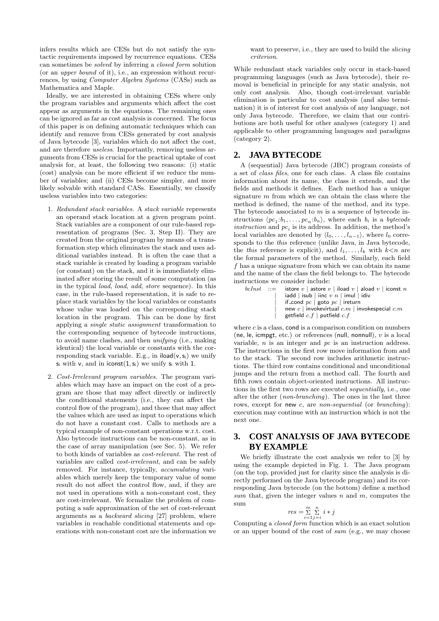infers results which are CESs but do not satisfy the syntactic requirements imposed by recurrence equations. CESs can sometimes be solved by inferring a closed form solution (or an upper bound of it), i.e., an expression without recurrences, by using Computer Algebra Systems (CASs) such as Mathematica and Maple.

Ideally, we are interested in obtaining CESs where only the program variables and arguments which affect the cost appear as arguments in the equations. The remaining ones can be ignored as far as cost analysis is concerned. The focus of this paper is on defining automatic techniques which can identify and remove from CESs generated by cost analysis of Java bytecode [3], variables which do not affect the cost, and are therefore useless. Importantly, removing useless arguments from CESs is crucial for the practical uptake of cost analysis for, at least, the following two reasons: (i) static (cost) analysis can be more efficient if we reduce the number of variables; and (ii) CESs become simpler, and more likely solvable with standard CASs. Essentially, we classify useless variables into two categories:

- 1. Redundant stack variables. A stack variable represents an operand stack location at a given program point. Stack variables are a component of our rule-based representation of programs (Sec. 3, Step II). They are created from the original program by means of a transformation step which eliminates the stack and uses additional variables instead. It is often the case that a stack variable is created by loading a program variable (or constant) on the stack, and it is immediately eliminated after storing the result of some computation (as in the typical load, load, add, store sequence). In this case, in the rule-based representation, it is safe to replace stack variables by the local variables or constants whose value was loaded on the corresponding stack location in the program. This can be done by first applying a single static assignment transformation to the corresponding sequence of bytecode instructions, to avoid name clashes, and then unifying (i.e., making identical) the local variable or constants with the corresponding stack variable. E.g., in  $\mathsf{iload}(v, s_i)$  we unify  $s_i$  with v, and in iconst(1,  $s_i$ ) we unify  $s_i$  with 1.
- 2. Cost-Irrelevant program variables. The program variables which may have an impact on the cost of a program are those that may affect directly or indirectly the conditional statements (i.e., they can affect the control flow of the program), and those that may affect the values which are used as input to operations which do not have a constant cost. Calls to methods are a typical example of non-constant operations w.r.t. cost. Also bytecode instructions can be non-constant, as in the case of array manipulation (see Sec. 5). We refer to both kinds of variables as cost-relevant. The rest of variables are called cost-irrelevant, and can be safely removed. For instance, typically, accumulating variables which merely keep the temporary value of some result do not affect the control flow, and, if they are not used in operations with a non-constant cost, they are cost-irrelevant. We formalize the problem of computing a safe approximation of the set of cost-relevant arguments as a backward slicing [27] problem, where variables in reachable conditional statements and operations with non-constant cost are the information we

want to preserve, i.e., they are used to build the *slicing* criterion.

While redundant stack variables only occur in stack-based programming languages (such as Java bytecode), their removal is beneficial in principle for any static analysis, not only cost analysis. Also, though cost-irrelevant variable elimination is particular to cost analysis (and also termination) it is of interest for cost analysis of any language, not only Java bytecode. Therefore, we claim that our contributions are both useful for other analyses (category 1) and applicable to other programming languages and paradigms (category 2).

### **2. JAVA BYTECODE**

A (sequential) Java bytecode (JBC) program consists of a set of class files, one for each class. A class file contains information about its name, the class it extends, and the fields and methods it defines. Each method has a unique signature  $m$  from which we can obtain the class where the method is defined, the name of the method, and its type. The bytecode associated to  $m$  is a sequence of bytecode instructions  $\langle pc_1:b_1,\ldots,pc_n:b_n\rangle$ , where each  $b_i$  is a bytecode *instruction* and  $pc<sub>i</sub>$  is its address. In addition, the method's local variables are denoted by  $\langle l_0, \ldots, l_{n-1} \rangle$ , where  $l_0$  corresponds to the this reference (unlike Java, in Java bytecode, the this reference is explicit), and  $l_1, \ldots, l_k$  with  $k \leq n$  are the formal parameters of the method. Similarly, each field f has a unique signature from which we can obtain its name and the name of the class the field belongs to. The bytecode instructions we consider include:

```
bcInst ::= istore v | astore v | iload v | aload v | iconst n
      \mathsf{i}add | isub | iinc v \, n \mid \mathsf{imul} \mid \mathsf{idiv}if cond pc | goto pc | ireturn
      new c | invokevirtual c.m | invokespecial c.mgetfield c.f | putfield c.f
```
where  $c$  is a class, cond is a comparison condition on numbers (ne, le, icmpgt, etc.) or references (null, nonnull),  $v$  is a local variable,  $n$  is an integer and  $pc$  is an instruction address. The instructions in the first row move information from and to the stack. The second row includes arithmetic instructions. The third row contains conditional and unconditional jumps and the return from a method call. The fourth and fifth rows contain object-oriented instructions. All instructions in the first two rows are executed sequentially, i.e., one after the other (non-branching). The ones in the last three rows, except for new  $c$ , are non-sequential (or branching): execution may continue with an instruction which is not the next one.

### **3. COST ANALYSIS OF JAVA BYTECODE BY EXAMPLE**

We briefly illustrate the cost analysis we refer to [3] by using the example depicted in Fig. 1. The Java program (on the top, provided just for clarity since the analysis is directly performed on the Java bytecode program) and its corresponding Java bytecode (on the bottom) define a method sum that, given the integer values n and  $m$ , computes the sum

$$
res = \sum_{i=1}^{m} \sum_{j=i}^{n} i * j
$$

Computing a closed form function which is an exact solution or an upper bound of the cost of sum (e.g., we may choose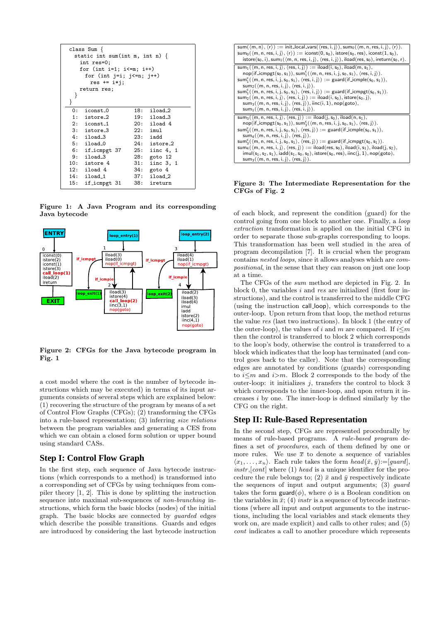| class $Sum \{$<br>static int sum(int m, int n) $\{$<br>int res=0;<br>for (int i=1; i<=m; i++)<br>for (int j=i; j<=n; j++)<br>$res += i*j;$<br>return res; |                  |  |      |                     |  |  |
|-----------------------------------------------------------------------------------------------------------------------------------------------------------|------------------|--|------|---------------------|--|--|
| $\mathbf{r}$                                                                                                                                              |                  |  |      |                     |  |  |
| ł                                                                                                                                                         |                  |  |      |                     |  |  |
|                                                                                                                                                           | $0:$ iconst $0$  |  | 18:  | iload 2             |  |  |
|                                                                                                                                                           | 1: istore_2      |  | 19:  | iload_3             |  |  |
|                                                                                                                                                           | 2: iconst_1      |  | 20:  | iload 4             |  |  |
|                                                                                                                                                           | 3: istore_3      |  | 22:  | imul                |  |  |
|                                                                                                                                                           | $4:$ iload_ $3$  |  | 23:  | iadd                |  |  |
|                                                                                                                                                           | $5:$ iload_0     |  | 24 : | istore <sub>2</sub> |  |  |
|                                                                                                                                                           | 6: if_icmpgt 37  |  | 25 : | iinc 4, 1           |  |  |
|                                                                                                                                                           | $9:$ iload 3     |  | 28:  | goto 12             |  |  |
|                                                                                                                                                           | $10:$ istore 4   |  | 31:  | iinc 3, 1           |  |  |
|                                                                                                                                                           | $12:$ iload $4$  |  | 34:  | goto 4              |  |  |
|                                                                                                                                                           | 14: iload_1      |  | 37:  | iload_2             |  |  |
|                                                                                                                                                           | 15: if_icmpgt 31 |  | 38:  | ireturn             |  |  |
|                                                                                                                                                           |                  |  |      |                     |  |  |

Figure 1: A Java Program and its corresponding Java bytecode



Figure 2: CFGs for the Java bytecode program in Fig. 1

a cost model where the cost is the number of bytecode instructions which may be executed) in terms of its input arguments consists of several steps which are explained below: (1) recovering the structure of the program by means of a set of Control Flow Graphs (CFGs); (2) transforming the CFGs into a rule-based representation; (3) inferring size relations between the program variables and generating a CES from which we can obtain a closed form solution or upper bound using standard CASs.

### **Step I: Control Flow Graph**

In the first step, each sequence of Java bytecode instructions (which corresponds to a method) is transformed into a corresponding set of CFGs by using techniques from compiler theory [1, 2]. This is done by splitting the instruction sequence into maximal sub-sequences of *non-branching* instructions, which form the basic blocks (nodes) of the initial graph. The basic blocks are connected by guarded edges which describe the possible transitions. Guards and edges are introduced by considering the last bytecode instruction



#### Figure 3: The Intermediate Representation for the CFGs of Fig. 2

of each block, and represent the condition (guard) for the control going from one block to another one. Finally, a loop extraction transformation is applied on the initial CFG in order to separate those sub-graphs corresponding to loops. This transformation has been well studied in the area of program decompilation [7]. It is crucial when the program contains nested loops, since it allows analyses which are compositional, in the sense that they can reason on just one loop at a time.

The CFGs of the sum method are depicted in Fig. 2. In block 0, the variables  $i$  and res are initialized (first four instructions), and the control is transferred to the middle CFG (using the instruction call loop), which corresponds to the outer-loop. Upon return from that loop, the method returns the value res (last two instructions). In block 1 (the entry of the outer-loop), the values of i and m are compared. If  $i\leq m$ then the control is transferred to block 2 which corresponds to the loop's body, otherwise the control is transferred to a block which indicates that the loop has terminated (and control goes back to the caller). Note that the corresponding edges are annotated by conditions (guards) corresponding to  $i \leq m$  and  $i > m$ . Block 2 corresponds to the body of the outer-loop: it initializes  $j$ , transfers the control to block 3 which corresponds to the inner-loop, and upon return it increases i by one. The inner-loop is defined similarly by the CFG on the right.

### **Step II: Rule-Based Representation**

In the second step, CFGs are represented procedurally by means of rule-based programs. A rule-based program defines a set of procedures, each of them defined by one or more rules. We use  $\bar{x}$  to denote a sequence of variables  $\langle x_1, \ldots, x_n \rangle$ . Each rule takes the form  $head(\bar{x}, \bar{y}) := [quard],$  $instr, [cont]$  where (1) head is a unique identifier for the procedure the rule belongs to; (2)  $\bar{x}$  and  $\bar{y}$  respectively indicate the sequences of input and output arguments; (3) guard takes the form guard $(\phi)$ , where  $\phi$  is a Boolean condition on the variables in  $\bar{x}$ ; (4) *instr* is a sequence of bytecode instructions (where all input and output arguments to the instructions, including the local variables and stack elements they work on, are made explicit) and calls to other rules; and (5) cont indicates a call to another procedure which represents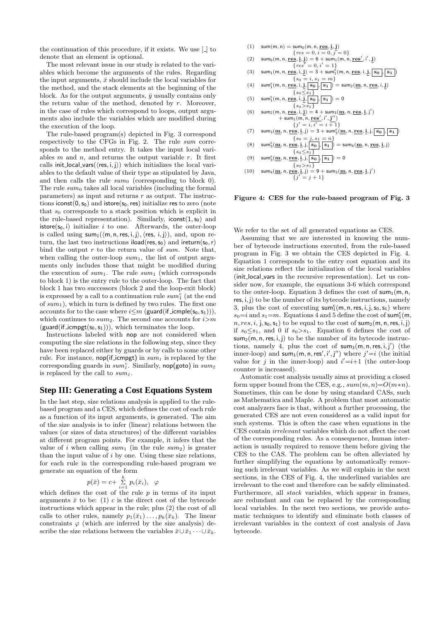the continuation of this procedure, if it exists. We use  $\lfloor \cdot \rfloor$  to denote that an element is optional.

The most relevant issue in our study is related to the variables which become the arguments of the rules. Regarding the input arguments,  $\bar{x}$  should include the local variables for the method, and the stack elements at the beginning of the block. As for the output arguments,  $\bar{y}$  usually contains only the return value of the method, denoted by r. Moreover, in the case of rules which correspond to loops, output arguments also include the variables which are modified during the execution of the loop.

The rule-based program(s) depicted in Fig. 3 correspond respectively to the CFGs in Fig. 2. The rule sum corresponds to the method entry. It takes the input local variables  $m$  and  $n$ , and returns the output variable  $r$ . It first calls init local vars $(\langle res, i, j \rangle)$  which initializes the local variables to the default value of their type as stipulated by Java, and then calls the rule  $sum_0$  (corresponding to block 0). The rule  $sum_0$  takes all local variables (including the formal parameters) as input and returns  $r$  as output. The instructions iconst $(0, s_0)$  and istore( $s_0$ , res) initialize res to zero (note that  $s_0$  corresponds to a stack position which is explicit in the rule-based representation). Similarly, iconst $(1, s_0)$  and  $istore(s<sub>0</sub>, i)$  initialize *i* to one. Afterwards, the outer-loop is called using  $sum_1(\langle m, n, res, i, j \rangle, \langle res, i, j \rangle)$ , and, upon return, the last two instructions iload(res,  $s_0$ ) and ireturn( $s_0$ , r) bind the output  $r$  to the return value of sum. Note that, when calling the outer-loop  $sum_1$ , the list of output arguments only includes those that might be modified during the execution of  $sum_1$ . The rule  $sum_1$  (which corresponds to block 1) is the entry rule to the outer-loop. The fact that block 1 has two successors (block 2 and the loop-exit block) is expressed by a call to a continuation rule  $sum_1^c$  (at the end of  $sum_1$ ), which in turn is defined by two rules. The first one accounts for to the case where  $i \leq m$  (guard(if icmple(s<sub>0</sub>, s<sub>1</sub>))), which continues to  $sum_2$ . The second one accounts for  $i>m$ (guard(if icmpgt( $s_0, s_1$ ))), which terminates the loop.

Instructions labeled with nop are not considered when computing the size relations in the following step, since they have been replaced either by guards or by calls to some other rule. For instance, nop(if-icmpgt) in  $sum_1$  is replaced by the corresponding guards in  $sum_1^c$ . Similarly, nop(goto) in  $sum_2$ is replaced by the call to  $sum_1$ .

### **Step III: Generating a Cost Equations System**

In the last step, size relations analysis is applied to the rulebased program and a CES, which defines the cost of each rule as a function of its input arguments, is generated. The aim of the size analysis is to infer (linear) relations between the values (or sizes of data structures) of the different variables at different program points. For example, it infers that the value of i when calling  $sum_1$  (in the rule  $sum_2$ ) is greater than the input value of  $i$  by one. Using these size relations, for each rule in the corresponding rule-based program we generate an equation of the form

$$
p(\bar{x}) = c + \sum_{i=1}^{k} p_i(\bar{x}_i), \varphi
$$

which defines the cost of the rule  $p$  in terms of its input arguments  $\bar{x}$  to be: (1) c is the direct cost of the bytecode instructions which appear in the rule; plus (2) the cost of all calls to other rules, namely  $p_1(\bar{x}_1) \ldots, p_k(\bar{x}_k)$ . The linear constraints  $\varphi$  (which are inferred by the size analysis) describe the size relations between the variables  $\bar{x} \cup \bar{x}_1 \cdots \cup \bar{x}_k$ .



Figure 4: CES for the rule-based program of Fig. 3

We refer to the set of all generated equations as CES.

Assuming that we are interested in knowing the number of bytecode instructions executed, from the rule-based program in Fig. 3 we obtain the CES depicted in Fig. 4. Equation 1 corresponds to the entry cost equation and its size relations reflect the initialization of the local variables (init local vars in the recursive representation). Let us consider now, for example, the equations 3-6 which correspond to the outer-loop. Equation 3 defines the cost of  $sum_1(m, n,$ res, i, j) to be the number of its bytecode instructions, namely 3, plus the cost of executing  $\textsf{sum}_1^c(m, n, \textsf{res}, i, j, s_0, s_1)$  where  $s_0=i$  and  $s_1=m$ . Equations 4 and 5 define the cost of sum<sup>c</sup><sub>1</sub>(m,  $n, res, i, j, s<sub>0</sub>, s<sub>1</sub>$  to be equal to the cost of sum<sub>2</sub>(m, n, res, i, j) if  $s_0 \leq s_1$ , and 0 if  $s_0 > s_1$ . Equation 6 defines the cost of  $sum_2(m, n, res, i, j)$  to be the number of its bytecode instructions, namely 4, plus the cost of sum<sub>3</sub>(m, n, res, i, j') (the inner-loop) and  $sum_1(m, n, res', i', j'')$  where  $j'=i$  (the initial value for j in the inner-loop) and  $i' = i+1$  (the outer-loop counter is increased).

Automatic cost analysis usually aims at providing a closed form upper bound from the CES, e.g.,  $sum(m, n)=O(m*n)$ . Sometimes, this can be done by using standard CASs, such as Mathematica and Maple. A problem that most automatic cost analyzers face is that, without a further processing, the generated CES are not even considered as a valid input for such systems. This is often the case when equations in the CES contain irrelevant variables which do not affect the cost of the corresponding rules. As a consequence, human interaction is usually required to remove them before giving the CES to the CAS. The problem can be often alleviated by further simplifying the equations by automatically removing such irrelevant variables. As we will explain in the next sections, in the CES of Fig. 4, the underlined variables are irrelevant to the cost and therefore can be safely eliminated. Furthermore, all *stack* variables, which appear in frames, are redundant and can be replaced by the corresponding local variables. In the next two sections, we provide automatic techniques to identify and eliminate both classes of irrelevant variables in the context of cost analysis of Java bytecode.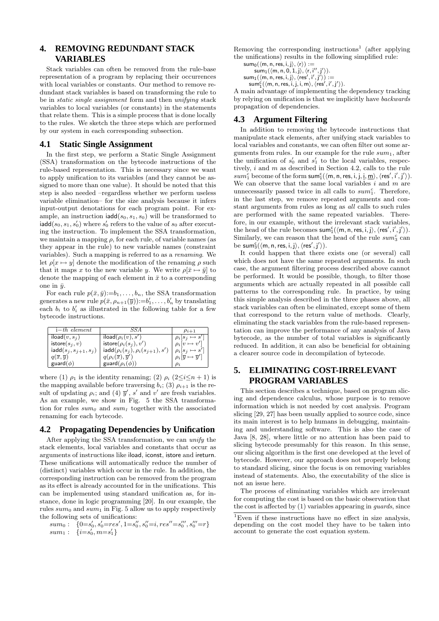### **4. REMOVING REDUNDANT STACK VARIABLES**

Stack variables can often be removed from the rule-base representation of a program by replacing their occurrences with local variables or constants. Our method to remove redundant stack variables is based on transforming the rule to be in static single assignment form and then unifying stack variables to local variables (or constants) in the statements that relate them. This is a simple process that is done locally to the rules. We sketch the three steps which are performed by our system in each corresponding subsection.

### **4.1 Static Single Assignment**

In the first step, we perform a Static Single Assignment (SSA) transformation on the bytecode instructions of the rule-based representation. This is necessary since we want to apply unification to its variables (and they cannot be assigned to more than one value). It should be noted that this step is also needed –regardless whether we perform useless variable elimination– for the size analysis because it infers input-output denotations for each program point. For example, an instruction  $\text{i} \text{add}(s_0, s_1, s_0)$  will be transformed to  $\mathsf{i} \textsf{add}(s_0, s_1, s'_0)$  where  $s'_0$  refers to the value of  $s_0$  after executing the instruction. To implement the SSA transformation, we maintain a mapping  $\rho$ , for each rule, of variable names (as they appear in the rule) to new variable names (constraint variables). Such a mapping is referred to as a renaming. We let  $\rho[x \mapsto y]$  denote the modification of the renaming  $\rho$  such that it maps x to the new variable y. We write  $\rho[\bar{x} \mapsto \bar{y}]$  to denote the mapping of each element in  $\bar{x}$  to a corresponding one in  $\bar{y}$ .

For each rule  $p(\bar{x}, \bar{y}) := b_1, \ldots, b_n$ , the SSA transformation generates a new rule  $p(\bar{x}, \rho_{n+1}(\bar{y})) := b'_1, \ldots, b'_n$  by translating each  $b_i$  to  $b'_i$  as illustrated in the following table for a few bytecode instructions.

| $i-th$ element                      | SS A                                                  | $\rho_{i+1}$                                 |
|-------------------------------------|-------------------------------------------------------|----------------------------------------------|
| $\overline{\textsf{iload}}(v, s_i)$ | $\mathsf{iload}(\rho_i(v), s')$                       | $\rho_i[s_j \mapsto s']$                     |
| $\mathsf{istore}(s_i, v)$           | $\mathsf{istore}(\rho_i(s_i), v')$                    | $\rho_i[v \mapsto v']$                       |
| $\mathsf{iadd}(s_j,s_{j+1},s_j)$    | $\mathsf{i}$ add $(\rho_i(s_j), \rho_i(s_{j+1}), s')$ | $\rho_i s_i \mapsto s' $                     |
| $q(\overline{x}, \overline{y})$     | $q(\rho_i(\overline{x}), \overline{y}')$              | $\rho_i[\overline{y} \mapsto \overline{y}']$ |
| guard $(\phi)$                      | guard $(\rho_i(\phi))$                                | $\rho_i$                                     |

where (1)  $\rho_1$  is the identity renaming; (2)  $\rho_i$  (2≤i≤n + 1) is the mapping available before traversing  $b_i$ ; (3)  $\rho_{i+1}$  is the result of updating  $\rho_i$ ; and (4)  $\overline{y}'$ , s' and v' are fresh variables. As an example, we show in Fig. 5 the SSA transformation for rules  $sum_0$  and  $sum_1$  together with the associated renaming for each bytecode.

### **4.2 Propagating Dependencies by Unification**

After applying the SSA transformation, we can unify the stack elements, local variables and constants that occur as arguments of instructions like iload, iconst, istore and ireturn. These unifications will automatically reduce the number of (distinct) variables which occur in the rule. In addition, the corresponding instruction can be removed from the program as its effect is already accounted for in the unifications. This can be implemented using standard unification as, for instance, done in logic programming [20]. In our example, the rules  $sum_0$  and  $sum_1$  in Fig. 5 allow us to apply respectively the following sets of unifications:

sum<sub>0</sub>: 
$$
\{0=s'_0, s'_0=res', 1=s''_0, s''_0=i, res''=s'''_0, s'''_0=r\}
$$
  
sum<sub>1</sub>:  $\{i=s'_0, ms'_1\}$ 

Removing the corresponding instructions<sup>1</sup> (after applying the unifications) results in the following simplified rule:

$$
\begin{array}{ll} \mathsf{sum}_0(\langle \mathsf{m},\mathsf{n},\mathsf{res},\mathsf{i},\mathsf{j}\rangle,\langle \mathsf{r}\rangle):=\hspace*{1.5cm}\\ \mathsf{sum}_1(\langle \mathsf{m},\mathsf{n},\mathsf{0},\mathsf{1},\mathsf{j}\rangle,\langle \mathsf{r},\mathsf{i}'',\mathsf{j}'\rangle).\\ \mathsf{sum}_1(\langle \mathsf{m},\mathsf{n},\mathsf{res},\mathsf{i},\mathsf{j}\rangle,\langle \mathsf{res}',\mathsf{i}',\mathsf{j}'\rangle):=\hspace*{1.5cm}\\ \mathsf{sum}_1^c(\langle \mathsf{m},\mathsf{n},\mathsf{res},\mathsf{i},\mathsf{j},\mathsf{i},\mathsf{m}\rangle,\langle \mathsf{res}',\mathsf{i}',\mathsf{j}'\rangle).\end{array}
$$

A main advantage of implementing the dependency tracking by relying on unification is that we implicitly have backwards propagation of dependencies.

### **4.3 Argument Filtering**

In addition to removing the bytecode instructions that manipulate stack elements, after unifying stack variables to local variables and constants, we can often filter out some arguments from rules. In our example for the rule  $sum_1$ , after the unification of  $s'_0$  and  $s'_1$  to the local variables, respectively,  $i$  and  $m$  as described in Section 4.2, calls to the rule  $sum_1^c$  become of the form  $\mathsf{sum}_1^c(\langle \mathsf{m},\mathsf{n},\mathsf{res},\mathsf{i},\mathsf{j},\mathsf{i},\mathsf{m}\rangle,\langle \mathsf{res}',\mathsf{i}',\mathsf{j}'\rangle).$ We can observe that the same local variables  $i$  and  $m$  are unnecessarily passed twice in all calls to  $sum_1^c$ . Therefore, in the last step, we remove repeated arguments and constant arguments from rules as long as all calls to such rules are performed with the same repeated variables. Therefore, in our example, without the irrelevant stack variables, the head of the rule becomes  $\textsf{sum}_{i}^{\textsf{c}}(\langle \textsf{m}, \textsf{n}, \textsf{res}, \textsf{i}, \textsf{j}\rangle, \langle \textsf{res}', \textsf{i}', \textsf{j}'\rangle).$ Similarly, we can reason that the head of the rule  $sum_3^c$  can be  $\mathsf{sum}_3^{\mathsf{c}}(\langle \mathsf{m},\mathsf{n},\mathsf{res},\mathsf{i},\mathsf{j}\rangle,\langle \mathsf{res}',\mathsf{j}'\rangle).$ 

It could happen that there exists one (or several) call which does not have the same repeated arguments. In such case, the argument filtering process described above cannot be performed. It would be possible, though, to filter those arguments which are actually repeated in all possible call patterns to the corresponding rule. In practice, by using this simple analysis described in the three phases above, all stack variables can often be eliminated, except some of them that correspond to the return value of methods. Clearly, eliminating the stack variables from the rule-based representation can improve the performance of any analysis of Java bytecode, as the number of total variables is significantly reduced. In addition, it can also be beneficial for obtaining a clearer source code in decompilation of bytecode.

## **5. ELIMINATING COST-IRRELEVANT PROGRAM VARIABLES**

This section describes a technique, based on program slicing and dependence calculus, whose purpose is to remove information which is not needed by cost analysis. Program slicing [29, 27] has been usually applied to source code, since its main interest is to help humans in debugging, maintaining and understanding software. This is also the case of Java [8, 28], where little or no attention has been paid to slicing bytecode presumably for this reason. In this sense, our slicing algorithm is the first one developed at the level of bytecode. However, our approach does not properly belong to standard slicing, since the focus is on removing variables instead of statements. Also, the executability of the slice is not an issue here.

The process of eliminating variables which are irrelevant for computing the cost is based on the basic observation that the cost is affected by (1) variables appearing in guards, since

 ${}^{1}$ Even if these instructions have no effect in size analysis, depending on the cost model they have to be taken into account to generate the cost equation system.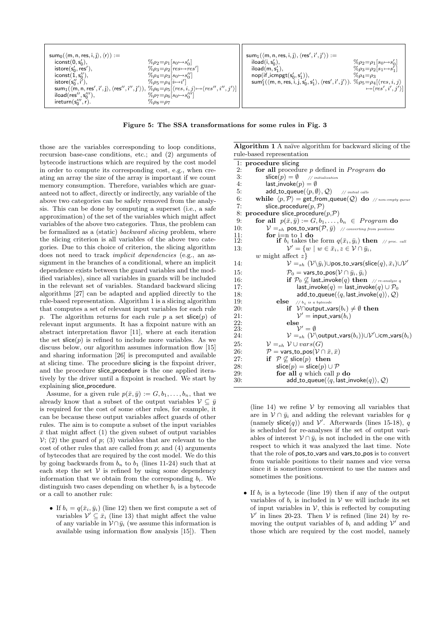| $sum_0(\langle m, n, res, i, j \rangle, \langle r \rangle) :=$ |                                                                                                                                                                        | $sum_1(\langle m, n, res, i, j \rangle, \langle res', i', j' \rangle) :=$                                                              |                                             |
|----------------------------------------------------------------|------------------------------------------------------------------------------------------------------------------------------------------------------------------------|----------------------------------------------------------------------------------------------------------------------------------------|---------------------------------------------|
| iconst $(0, s'_0)$ ,                                           | $\% \rho_2 = \rho_1 [s_0 \rightarrow s'_0]$                                                                                                                            | $i$ load $(i, s'_0)$ ,                                                                                                                 | $\% \rho_2 = \rho_1 [s_0 \rightarrow s'_0]$ |
| $istore(s'_0, res'),$                                          | $\% \rho_3 = \rho_2 [res \rightarrow res']$                                                                                                                            | $iload(m, s'_1),$                                                                                                                      | $\% \rho_3 = \rho_2[s_1 \rightarrow s'_1]$  |
| iconst $(1, s_n'')$ ,                                          | $\%$ $\rho_4 = \rho_3[s_0 \rightarrow s_0'']$                                                                                                                          | $nop(if\_imppt(s'_{0}, s'_{1})),$                                                                                                      | $\%$ $\rho_4 = \rho_3$                      |
| $istore(s''_0, i'),$                                           | $\%$ $\rho_5 = \rho_4[i \rightarrow i']$                                                                                                                               | $sum_1^c (\langle m, n, res, i, j, s'_0, s'_1 \rangle, \langle res', i', j' \rangle).$ % $\rho_5 = \rho_4 [\langle res, i, j \rangle]$ |                                             |
|                                                                | $sum_1(\langle m, n, res', i', j \rangle, \langle res'', i'', j' \rangle), \ \% \rho_6 = \rho_5[\langle res, i, j \rangle \rightarrow \langle res'', i'', j' \rangle]$ |                                                                                                                                        | $\mapsto$ (res', i', j')]                   |
| iload(res'', $s_0'''$ ),                                       | $\%$ <i>p</i> <sub>7</sub> = $\rho_6[s_0 \rightarrow s_0'']$                                                                                                           |                                                                                                                                        |                                             |
| ireturn $(s''_0, r)$ .                                         | $\% \rho_8 = \rho_7$                                                                                                                                                   |                                                                                                                                        |                                             |

Figure 5: The SSA transformations for some rules in Fig. 3

those are the variables corresponding to loop conditions, recursion base-case conditions, etc.; and (2) arguments of bytecode instructions which are required by the cost model in order to compute its corresponding cost, e.g., when creating an array the size of the array is important if we count memory consumption. Therefore, variables which are guaranteed not to affect, directly or indirectly, any variable of the above two categories can be safely removed from the analysis. This can be done by computing a superset (i.e., a safe approximation) of the set of the variables which might affect variables of the above two categories. Thus, the problem can be formalized as a (static) backward slicing problem, where the slicing criterion is all variables of the above two categories. Due to this choice of criterion, the slicing algorithm does not need to track implicit dependencies (e.g., an assignment in the branches of a conditional, where an implicit dependence exists between the guard variables and the modified variables), since all variables in guards will be included in the relevant set of variables. Standard backward slicing algorithms [27] can be adapted and applied directly to the rule-based representation. Algorithm 1 is a slicing algorithm that computes a set of relevant input variables for each rule p. The algorithm returns for each rule p a set  $\text{slice}(p)$  of relevant input arguments. It has a fixpoint nature with an abstract interpretation flavor [11], where at each iteration the set  $\textsf{slice}(p)$  is refined to include more variables. As we discuss below, our algorithm assumes information flow [15] and sharing information [26] is precomputed and available at slicing time. The procedure slicing is the fixpoint driver, and the procedure slice procedure is the one applied iteratively by the driver until a fixpoint is reached. We start by explaining slice procedure.

Assume, for a given rule  $p(\bar{x}, \bar{y}) := G, b_1, \ldots, b_n$ , that we already know that a subset of the output variables  $\mathcal{V} \subseteq \bar{y}$ is required for the cost of some other rules, for example, it can be because these output variables affect guards of other rules. The aim is to compute a subset of the input variables  $\bar{x}$  that might affect (1) the given subset of output variables  $V$ ; (2) the guard of p; (3) variables that are relevant to the cost of other rules that are called from  $p$ ; and  $(4)$  arguments of bytecodes that are required by the cost model. We do this by going backwards from  $b_n$  to  $b_1$  (lines 11-24) such that at each step the set  $V$  is refined by using some dependency information that we obtain from the corresponding  $b_i$ . We distinguish two cases depending on whether  $b_i$  is a bytecode or a call to another rule:

• If  $b_i = q(\bar{x}_i, \bar{y}_i)$  (line 12) then we first compute a set of variables  $\mathcal{V}' \subseteq \bar{x}_i$  (line 13) that might affect the value of any variable in  $V \cap \bar{y}_i$  (we assume this information is available using information flow analysis [15]). Then

Algorithm 1 A naïve algorithm for backward slicing of the rule-based representation 1: procedure slicing

| ı.  | procedure silcing                                                                                                             |
|-----|-------------------------------------------------------------------------------------------------------------------------------|
| 2:  | for all procedure $p$ defined in <i>Program</i> do                                                                            |
| 3:  | $slice(p) = \emptyset$<br>$//$ initialization                                                                                 |
| 4:  | last_invoke $(p)=\emptyset$                                                                                                   |
| 5:  | add_to_queue $(\langle p, \emptyset \rangle, \mathcal{Q})$ // initial calls                                                   |
| 6:  | while $\langle p, \mathcal{P} \rangle =$ get_from_queue( $\mathcal{Q}$ ) do // non-empty queue                                |
| 7:  | slice_procedure $(p, P)$                                                                                                      |
| 8:  | procedure slice_procedure( $p,\mathcal{P}$ )                                                                                  |
| 9:  | for all $p(\bar{x}, \bar{y}) := G, b_1, \ldots, b_n \in Program$ do                                                           |
| 10: | $\mathcal{V} =_{sh}$ pos_to_vars $(\mathcal{P}, \bar{y})$ // converting from positions                                        |
| 11: | for $i=n$ to 1 do                                                                                                             |
| 12: | <b>if</b> $b_i$ takes the form $q(\bar{x}_i, \bar{y}_i)$ then // proc. call                                                   |
| 13: | $\mathcal{V}' = \{w \mid w \in \bar{x}_i, z \in \mathcal{V} \cap \bar{y}_i,$                                                  |
|     | w might affect $z$                                                                                                            |
| 14: | $\mathcal{V} =_{sh} (\mathcal{V} \backslash \bar{y}_i) \cup \text{pos_to_vars}(\text{slice}(q), \bar{x}_i) \cup \mathcal{V}'$ |
| 15: | $\mathcal{P}_0 =$ vars_to_pos $(\mathcal{V} \cap \bar{y}_i, \bar{y}_i)$                                                       |
| 16: | if $\mathcal{P}_0 \not\subseteq$ last_invoke(q) then // re-analyze q                                                          |
| 17: | $last\_invoke(q) = last\_invoke(q) \cup P_0$                                                                                  |
| 18: | add_to_queue( $\langle q$ , last_invoke $(q)$ ), $\mathcal{Q}$ )                                                              |
| 19: | $else$ //b <sub>i</sub> is a bytecode                                                                                         |
| 20: | if $\mathcal{V}\cap$ output_vars $(b_i)\neq\emptyset$ then                                                                    |
| 21: | $\mathcal{V}' = \text{input\_vars}(b_i)$                                                                                      |
| 22: | else                                                                                                                          |
| 23: | $\mathcal{V}'=\emptyset$                                                                                                      |
| 24: | $\mathcal{V} =_{sh} (\mathcal{V} \text{output\_vars}(b_i)) \cup \mathcal{V}' \cup \text{cm\_vars}(b_i)$                       |
| 25: | $\mathcal{V} =_{sh} \mathcal{V} \cup vars(G)$                                                                                 |
| 26: | $\mathcal{P} = \text{vars\_to\_pos}(\mathcal{V} \cap \bar{x}, \bar{x})$                                                       |
| 27: | if $P \nsubseteq$ slice(p) then                                                                                               |
| 28: | slice(p) = slice(p) $\cup \mathcal{P}$                                                                                        |
| 29: | for all q which call $p$ do                                                                                                   |
| 30: | add_to_queue $(\langle q, \textsf{last\_invoke}(q) \rangle, \mathcal{Q})$                                                     |

(line 14) we refine  $V$  by removing all variables that are in  $V \cap \bar{y}_i$  and adding the relevant variables for q (namely slice(q)) and  $V'$ . Afterwards (lines 15-18),  $\overline{q}$ is scheduled for re-analyses if the set of output variables of interest  $\mathcal{V} \cap \bar{y}_i$  is not included in the one with respect to which it was analyzed the last time. Note that the role of pos\_to\_vars and vars\_to\_pos is to convert from variable positions to their names and vice versa since it is sometimes convenient to use the names and sometimes the positions.

• If  $b_i$  is a bytecode (line 19) then if any of the output variables of  $b_i$  is included in  $V$  we will include its set of input variables in  $V$ , this is reflected by computing  $V'$  in lines 20-23. Then V is refined (line 24) by removing the output variables of  $b_i$  and adding  $\mathcal{V}'$  and those which are required by the cost model, namely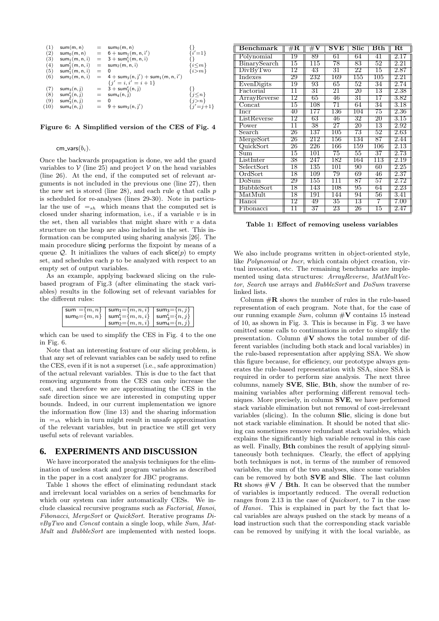| (1)  | sum(m, n)          | $=$ | $sum_0(m, n)$                                      |                  |
|------|--------------------|-----|----------------------------------------------------|------------------|
| (2)  | $sum_0(m, n)$      |     | $= 6 + \text{sum}_1(m, n, i')$                     | $\{i' = 1\}$     |
| (3)  | $sum_1(m, n, i)$   |     | $= 3 + \text{sum}_{1}^{c} (m, n, i)$               |                  |
| (4)  | $sum_1^c(m, n, i)$ | $=$ | $sum_2(m, n, i)$                                   | $\{i \leq m\}$   |
| (5)  | $sum_1^c(m, n, i)$ | $=$ |                                                    | $\{i\geq m\}$    |
| (6)  | $sum_2(m, n, i)$   | $=$ | $4 + \text{sum}_3(n, j') + \text{sum}_1(m, n, i')$ |                  |
|      |                    |     | $\{j' = i, i' = i + 1\}$                           |                  |
| (7)  | $sum_3(n, i)$      |     | $= 3 + \text{sum}_{3}^{c}(n, j)$                   |                  |
| (8)  | $sum_3^c(n, j)$    | $=$ | $sum_4(n, i)$                                      | $\{j\leq n\}$    |
| (9)  | $sum_3^c(n, j)$    | $=$ | O                                                  | $\{j>n\}$        |
| (10) | $sum_4(n, j)$      |     | $= 9 + \text{sum}_3(n, j')$                        | $\{j' = j + 1\}$ |
|      |                    |     |                                                    |                  |

#### Figure 6: A Simplified version of the CES of Fig. 4

#### cm\_vars $(b_i)$ .

Once the backwards propagation is done, we add the guard variables to  $V$  (line 25) and project  $V$  on the head variables (line 26). At the end, if the computed set of relevant arguments is not included in the previous one (line 27), then the new set is stored (line 28), and each rule  $q$  that calls  $p$ is scheduled for re-analyses (lines 29-30). Note in particular the use of  $=$ <sub>sh</sub> which means that the computed set is closed under sharing information, i.e., if a variable  $v$  is in the set, then all variables that might share with  $v$  a data structure on the heap are also included in the set. This information can be computed using sharing analysis [26]. The main procedure slicing performs the fixpoint by means of a queue  $Q$ . It initializes the values of each slice(p) to empty set, and schedules each  $p$  to be analyzed with respect to an empty set of output variables.

As an example, applying backward slicing on the rulebased program of Fig.3 (after eliminating the stack variables) results in the following set of relevant variables for the different rules:

| sum ={ $m, n$ }   sum <sub>1</sub> ={ $m, n, i$ }   sum <sub>3</sub> ={ $n, j$ }       |  |
|----------------------------------------------------------------------------------------|--|
| $sum_{0}$ ={ $m, n$ }   sum <sup>c</sup> ={ $m, n, i$ }   sum <sup>c</sup> ={ $n, j$ } |  |
| sum <sub>2</sub> ={ $m, n, i$ }   sum <sub>4</sub> ={ $n, j$ }                         |  |

which can be used to simplify the CES in Fig. 4 to the one in Fig. 6.

Note that an interesting feature of our slicing problem, is that any set of relevant variables can be safely used to refine the CES, even if it is not a superset (i.e., safe approximation) of the actual relevant variables. This is due to the fact that removing arguments from the CES can only increase the cost, and therefore we are approximating the CES in the safe direction since we are interested in computing upper bounds. Indeed, in our current implementation we ignore the information flow (line 13) and the sharing information in  $=$ <sub>sh</sub> which in turn might result in unsafe approximation of the relevant variables, but in practice we still get very useful sets of relevant variables.

#### **6. EXPERIMENTS AND DISCUSSION**

We have incorporated the analysis techniques for the elimination of useless stack and program variables as described in the paper in a cost analyzer for JBC programs.

Table 1 shows the effect of eliminating redundant stack and irrelevant local variables on a series of benchmarks for which our system can infer automatically CESs. We include classical recursive programs such as Factorial, Hanoi, Fibonacci, MergeSort or QuickSort. Iterative programs Di $vByTwo$  and *Concat* contain a single loop, while Sum, Mat-Mult and BubbleSort are implemented with nested loops.

| Benchmark                 | $\#\mathbf{R}$  | $\#\mathbf{V}$   | ${\bf SVE}$      | $\operatorname{Slice}$ | $_{\rm Bth}$     | $_{\rm Rt}$ |
|---------------------------|-----------------|------------------|------------------|------------------------|------------------|-------------|
| Polynomial                | 19              | 89               | 61               | 64                     | 41               | 2.17        |
| BinarySearch              | 15              | 115              | 78               | 83                     | 52               | 2.21        |
| DivByTwo                  | 12              | 43               | 31               | 22                     | 15               | 2.87        |
| $_{\rm Indexes}$          | 29              | 232              | 169              | 155                    | 105              | 2.21        |
| EvenDigits                | 19              | 93               | 65               | 52                     | 34               | 2.74        |
| $\rm Factorial$           | 11              | 31               | 21               | 20                     | 13               | 2.38        |
| ArrayReverse              | 12              | 65               | 46               | 31                     | 17               | 3.82        |
| $_{\rm Concat}$           | 15              | 108              | 71               | 64                     | 34               | 3.18        |
| $_{\rm Incr}$             | 40              | 177              | 136              | 104                    | 75               | 2.36        |
| ListReverse               | $\overline{12}$ | 63               | 46               | $\overline{32}$        | 20               | 3.15        |
| Power                     | T1              | $\overline{38}$  | $\overline{27}$  | $\overline{20}$        | $\overline{13}$  | 2.92        |
| Search                    | $\overline{26}$ | $\overline{137}$ | $\overline{105}$ | 73                     | $\overline{52}$  | 2.63        |
| MergeSort                 | $\overline{26}$ | 212              | 156              | 134                    | 87               | 2.44        |
| QuickSort                 | 26              | 226              | 166              | 159                    | 106              | 2.13        |
| $\overline{\mathrm{Sum}}$ | 15              | 101              | $\overline{75}$  | $\overline{55}$        | 37               | 2.73        |
| ListInter                 | $\overline{38}$ | 247              | 182              | 164                    | $\overline{113}$ | 2.19        |
| $\text{SelectSort}$       | 18              | 135              | 101              | 90                     | 60               | $2.25\,$    |
| OrdSort                   | 18              | 109              | 79               | 69                     | 46               | $2.37\,$    |
| $\operatorname{DoSum}$    | 29              | 155              | T1 1             | 87                     | 57               | 2.72        |
| <b>BubbleSort</b>         | 18              | 143              | 108              | 95                     | 64               | $2.23\,$    |
| $\text{MatMult}$          | 18              | 191              | 144              | 94                     | 56               | 3.41        |
| Hanoi                     | 12              | 49               | 35               | 13                     | 7                | 7.00        |
| Fibonacci                 | 11              | 37               | $\overline{23}$  | $\overline{26}$        | 15               | 2.47        |

Table 1: Effect of removing useless variables

We also include programs written in object-oriented style, like Polynomial or Incr, which contain object creation, virtual invocation, etc. The remaining benchmarks are implemented using data structures: ArrayReverse, MatMultVector, Search use arrays and BubbleSort and DoSum traverse linked lists.

Column  $\#\mathbf{R}$  shows the number of rules in the rule-based representation of each program. Note that, for the case of our running example  $Sum$ , column  $\#\mathbf{V}$  contains 15 instead of 10, as shown in Fig. 3. This is because in Fig. 3 we have omitted some calls to continuations in order to simplify the presentation. Column  $\#\mathbf{V}$  shows the total number of different variables (including both stack and local variables) in the rule-based representation after applying SSA. We show this figure because, for efficiency, our prototype always generates the rule-based representation with SSA, since SSA is required in order to perform size analysis. The next three columns, namely SVE, Slic, Bth, show the number of remaining variables after performing different removal techniques. More precisely, in column SVE, we have performed stack variable elimination but not removal of cost-irrelevant variables (slicing). In the column Slic, slicing is done but not stack variable elimination. It should be noted that slicing can sometimes remove redundant stack variables, which explains the significantly high variable removal in this case as well. Finally, Bth combines the result of applying simultaneously both techniques. Clearly, the effect of applying both techniques is not, in terms of the number of removed variables, the sum of the two analyses, since some variables can be removed by both SVE and Slic. The last column **Rt** shows  $\#V$  / **Bth**. It can be observed that the number of variables is importantly reduced. The overall reduction ranges from 2.13 in the case of Quicksort, to 7 in the case of Hanoi. This is explained in part by the fact that local variables are always pushed on the stack by means of a load instruction such that the corresponding stack variable can be removed by unifying it with the local variable, as